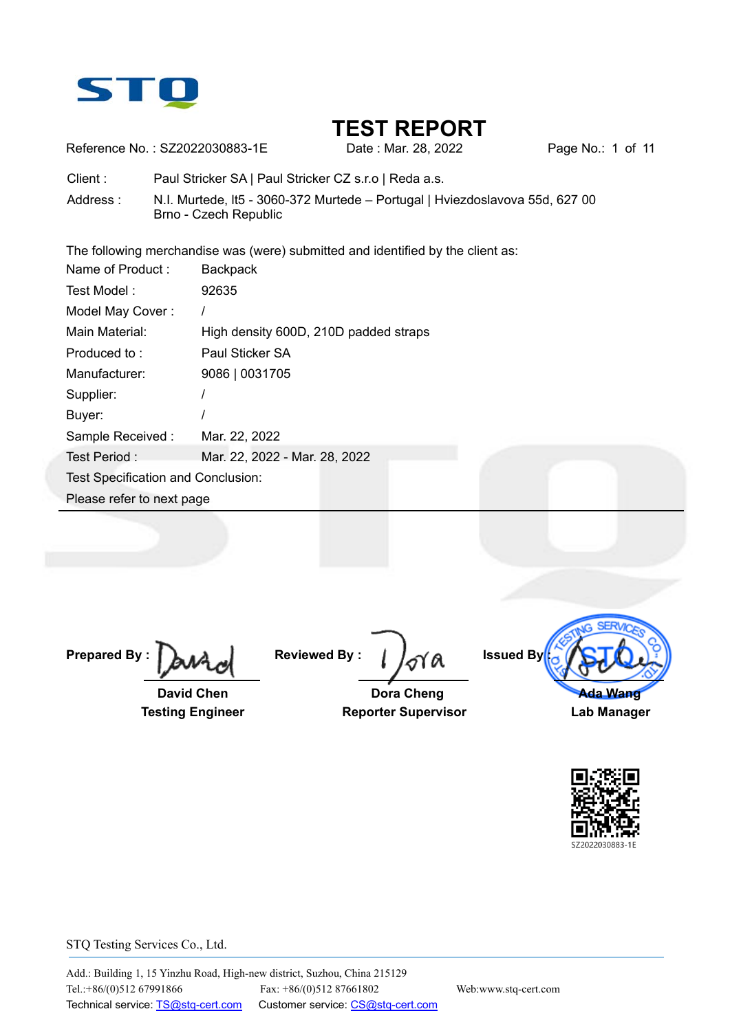

Reference No.: SZ2022030883-1E Date : Mar. 28, 2022 Page No.: 1 of 11

Client : Paul Stricker SA | Paul Stricker CZ s.r.o | Reda a.s.

Address : N.I. Murtede, lt5 - 3060-372 Murtede – Portugal | Hviezdoslavova 55d, 627 00 Brno - Czech Republic

The following merchandise was (were) submitted and identified by the client as:

| Name of Product:                   | <b>Backpack</b>                       |
|------------------------------------|---------------------------------------|
| Test Model:                        | 92635                                 |
| Model May Cover:                   |                                       |
| Main Material:                     | High density 600D, 210D padded straps |
| Produced to:                       | Paul Sticker SA                       |
| Manufacturer:                      | 9086   0031705                        |
| Supplier:                          |                                       |
| Buyer:                             |                                       |
| Sample Received:                   | Mar. 22, 2022                         |
| Test Period:                       | Mar. 22, 2022 - Mar. 28, 2022         |
| Test Specification and Conclusion: |                                       |
| Please refer to next page          |                                       |

**Prepared By :** 

 **David Chen Testing Engineer** 

**Reviewed By :** 

 **Dora Cheng Reporter Supervisor** 



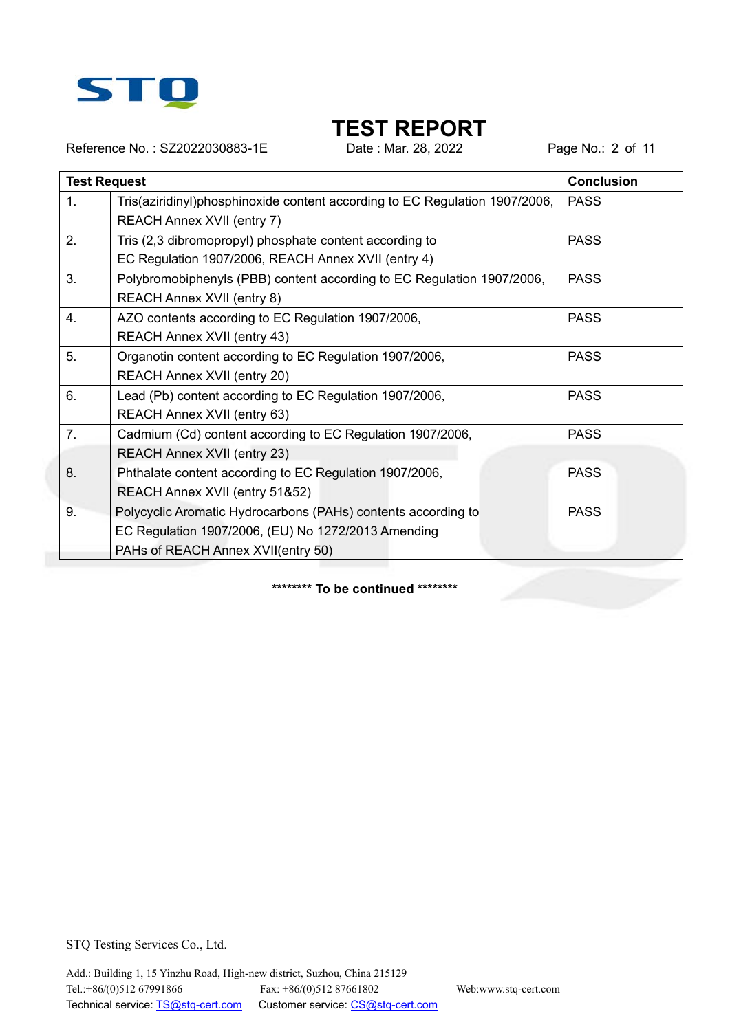

Reference No.: SZ2022030883-1E Date : Mar. 28, 2022 Page No.: 2 of 11

|                | <b>Test Request</b>                                                                                                                                        | <b>Conclusion</b> |
|----------------|------------------------------------------------------------------------------------------------------------------------------------------------------------|-------------------|
| 1.             | Tris(aziridinyl)phosphinoxide content according to EC Regulation 1907/2006,<br>REACH Annex XVII (entry 7)                                                  | <b>PASS</b>       |
| 2.             | Tris (2,3 dibromopropyl) phosphate content according to<br>EC Regulation 1907/2006, REACH Annex XVII (entry 4)                                             | <b>PASS</b>       |
| 3.             | Polybromobiphenyls (PBB) content according to EC Regulation 1907/2006,<br>REACH Annex XVII (entry 8)                                                       | <b>PASS</b>       |
| 4.             | AZO contents according to EC Regulation 1907/2006,<br>REACH Annex XVII (entry 43)                                                                          | <b>PASS</b>       |
| 5.             | Organotin content according to EC Regulation 1907/2006,<br>REACH Annex XVII (entry 20)                                                                     | <b>PASS</b>       |
| 6.             | Lead (Pb) content according to EC Regulation 1907/2006,<br>REACH Annex XVII (entry 63)                                                                     | <b>PASS</b>       |
| 7 <sub>1</sub> | Cadmium (Cd) content according to EC Regulation 1907/2006,<br><b>REACH Annex XVII (entry 23)</b>                                                           | <b>PASS</b>       |
| 8.             | Phthalate content according to EC Regulation 1907/2006,<br>REACH Annex XVII (entry 51&52)                                                                  | <b>PASS</b>       |
| 9.             | Polycyclic Aromatic Hydrocarbons (PAHs) contents according to<br>EC Regulation 1907/2006, (EU) No 1272/2013 Amending<br>PAHs of REACH Annex XVII(entry 50) | <b>PASS</b>       |

**\*\*\*\*\*\*\*\* To be continued \*\*\*\*\*\*\*\***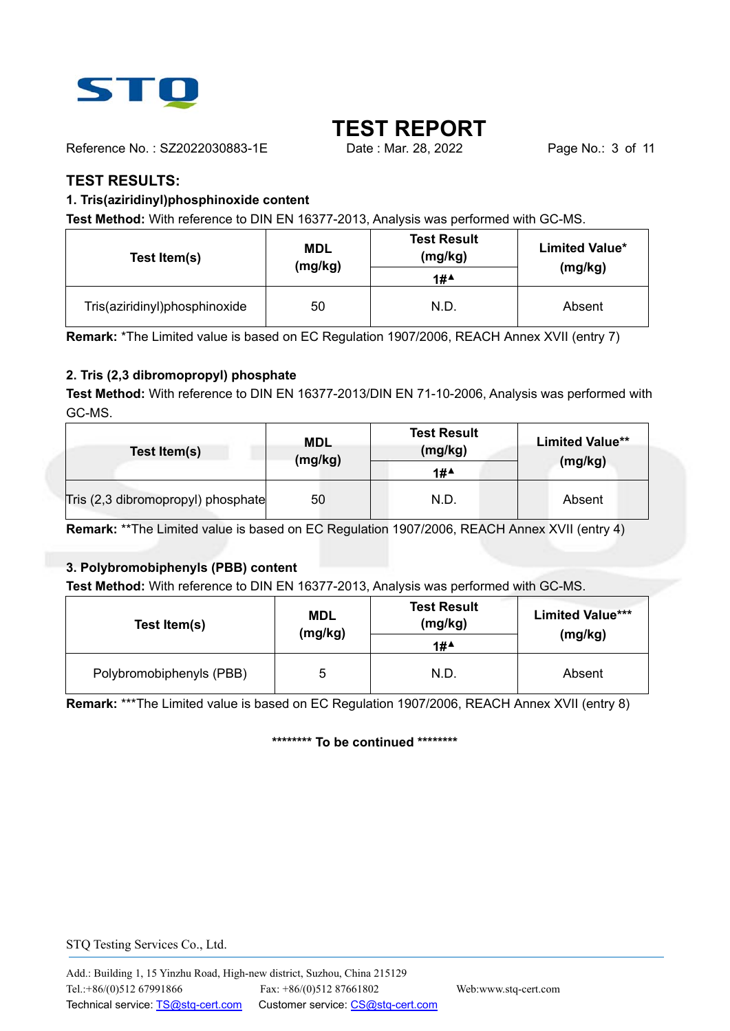

Reference No.: SZ2022030883-1E Date : Mar. 28, 2022 Page No.: 3 of 11

#### **TEST RESULTS:**

#### **1. Tris(aziridinyl)phosphinoxide content**

**Test Method:** With reference to DIN EN 16377-2013, Analysis was performed with GC-MS.

| Test Item(s)                  | <b>MDL</b><br>(mg/kg) |      | <b>Limited Value*</b><br>(mg/kg) |
|-------------------------------|-----------------------|------|----------------------------------|
| Tris(aziridinyl)phosphinoxide | 50                    | N.D. | Absent                           |

**Remark:** \*The Limited value is based on EC Regulation 1907/2006, REACH Annex XVII (entry 7)

#### **2. Tris (2,3 dibromopropyl) phosphate**

**Test Method:** With reference to DIN EN 16377-2013/DIN EN 71-10-2006, Analysis was performed with GC-MS.

| Test Item(s)                       | <b>MDL</b><br>(mg/kg) | <b>Test Result</b><br>(mg/kg)<br>1# | <b>Limited Value**</b><br>(mg/kg) |
|------------------------------------|-----------------------|-------------------------------------|-----------------------------------|
| Tris (2,3 dibromopropyl) phosphate | 50                    | N.D.                                | Absent                            |

**Remark:** \*\*The Limited value is based on EC Regulation 1907/2006, REACH Annex XVII (entry 4)

#### **3. Polybromobiphenyls (PBB) content**

**Test Method:** With reference to DIN EN 16377-2013, Analysis was performed with GC-MS.

| Test Item(s)             | <b>MDL</b><br>(mg/kg) | <b>Test Result</b><br>(mg/kg)<br>1# | <b>Limited Value***</b><br>(mg/kg) |
|--------------------------|-----------------------|-------------------------------------|------------------------------------|
| Polybromobiphenyls (PBB) | 5                     | N.D.                                | Absent                             |

**Remark:** \*\*\*The Limited value is based on EC Regulation 1907/2006, REACH Annex XVII (entry 8)

**\*\*\*\*\*\*\*\* To be continued \*\*\*\*\*\*\*\***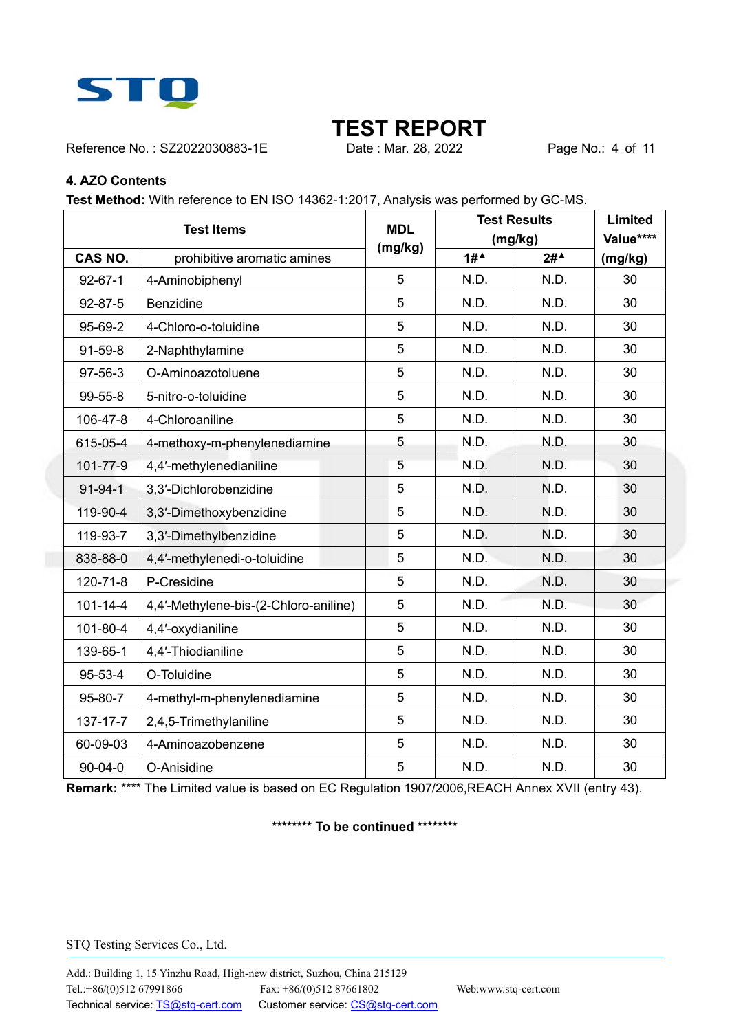

Reference No.: SZ2022030883-1E Date : Mar. 28, 2022 Page No.: 4 of 11

#### **4. AZO Contents**

**Test Method:** With reference to EN ISO 14362-1:2017, Analysis was performed by GC-MS.

| <b>Test Items</b> |                                       | <b>MDL</b> |      | <b>Test Results</b> | Limited   |
|-------------------|---------------------------------------|------------|------|---------------------|-----------|
|                   |                                       | (mg/kg)    |      | (mg/kg)             | Value**** |
| <b>CAS NO.</b>    | prohibitive aromatic amines           |            | 1#   | $2#^*$              | (mg/kg)   |
| $92 - 67 - 1$     | 4-Aminobiphenyl                       | 5          | N.D. | N.D.                | 30        |
| 92-87-5           | <b>Benzidine</b>                      | 5          | N.D. | N.D.                | 30        |
| 95-69-2           | 4-Chloro-o-toluidine                  | 5          | N.D. | N.D.                | 30        |
| 91-59-8           | 2-Naphthylamine                       | 5          | N.D. | N.D.                | 30        |
| 97-56-3           | O-Aminoazotoluene                     | 5          | N.D. | N.D.                | 30        |
| 99-55-8           | 5-nitro-o-toluidine                   | 5          | N.D. | N.D.                | 30        |
| 106-47-8          | 4-Chloroaniline                       | 5          | N.D. | N.D.                | 30        |
| 615-05-4          | 4-methoxy-m-phenylenediamine          | 5          | N.D. | N.D.                | 30        |
| 101-77-9          | 4,4'-methylenedianiline               | 5          | N.D. | N.D.                | 30        |
| $91 - 94 - 1$     | 3,3'-Dichlorobenzidine                | 5          | N.D. | N.D.                | 30        |
| 119-90-4          | 3,3'-Dimethoxybenzidine               | 5          | N.D. | N.D.                | 30        |
| 119-93-7          | 3,3'-Dimethylbenzidine                | 5          | N.D. | N.D.                | 30        |
| 838-88-0          | 4,4'-methylenedi-o-toluidine          | 5          | N.D. | N.D.                | 30        |
| 120-71-8          | P-Cresidine                           | 5          | N.D. | N.D.                | 30        |
| $101 - 14 - 4$    | 4,4'-Methylene-bis-(2-Chloro-aniline) | 5          | N.D. | N.D.                | 30        |
| 101-80-4          | 4,4'-oxydianiline                     | 5          | N.D. | N.D.                | 30        |
| 139-65-1          | 4,4'-Thiodianiline                    | 5          | N.D. | N.D.                | 30        |
| 95-53-4           | O-Toluidine                           | 5          | N.D. | N.D.                | 30        |
| 95-80-7           | 4-methyl-m-phenylenediamine           | 5          | N.D. | N.D.                | 30        |
| 137-17-7          | 2,4,5-Trimethylaniline                | 5          | N.D. | N.D.                | 30        |
| 60-09-03          | 4-Aminoazobenzene                     | 5          | N.D. | N.D.                | 30        |
| 90-04-0           | O-Anisidine                           | 5          | N.D. | N.D.                | 30        |

**Remark:** \*\*\*\* The Limited value is based on EC Regulation 1907/2006,REACH Annex XVII (entry 43).

#### **\*\*\*\*\*\*\*\* To be continued \*\*\*\*\*\*\*\***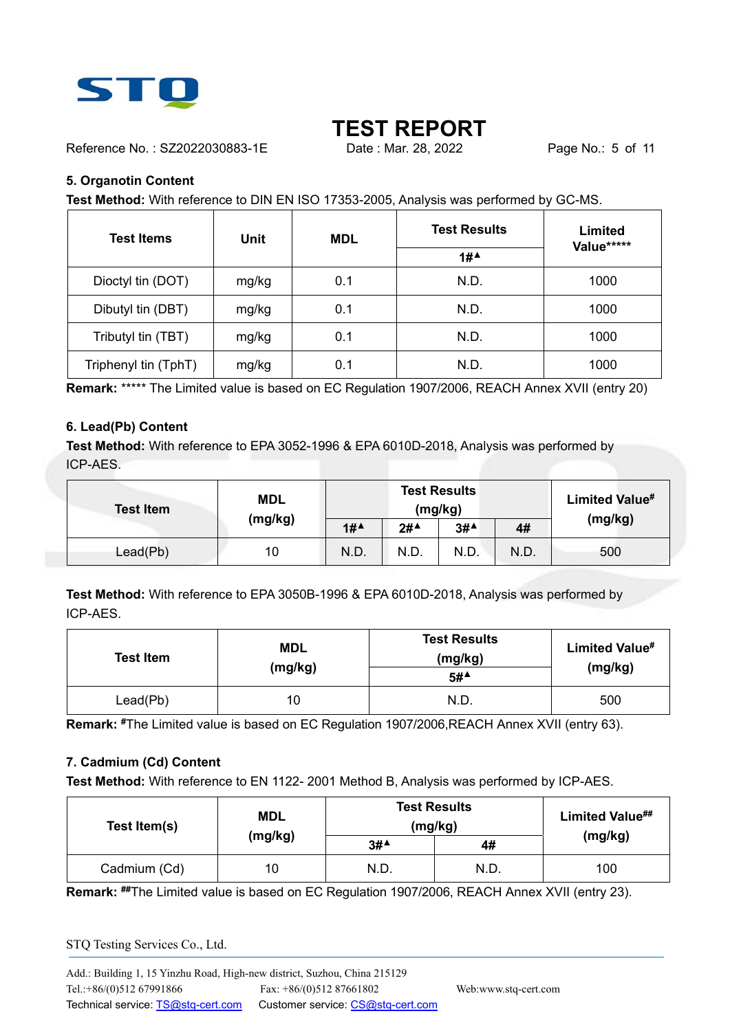

Reference No.: SZ2022030883-1E Date: Mar. 28, 2022 Page No.: 5 of 11

#### **5. Organotin Content**

**Test Method:** With reference to DIN EN ISO 17353-2005, Analysis was performed by GC-MS.

| <b>Test Items</b>    | Unit  | <b>MDL</b> | <b>Test Results</b><br>Limited<br>Value***** |      |
|----------------------|-------|------------|----------------------------------------------|------|
|                      |       |            | 1#                                           |      |
| Dioctyl tin (DOT)    | mg/kg | 0.1        | N.D.                                         | 1000 |
| Dibutyl tin (DBT)    | mg/kg | 0.1        | N.D.                                         | 1000 |
| Tributyl tin (TBT)   | mg/kg | 0.1        | N.D.                                         | 1000 |
| Triphenyl tin (TphT) | mg/kg | 0.1        | N.D.                                         | 1000 |

**Remark:** \*\*\*\*\* The Limited value is based on EC Regulation 1907/2006, REACH Annex XVII (entry 20)

#### **6. Lead(Pb) Content**

**Test Method:** With reference to EPA 3052-1996 & EPA 6010D-2018, Analysis was performed by ICP-AES.

| <b>Test Item</b> | <b>MDL</b> | <b>Test Results</b><br>(mg/kg) |        | Limited Value# |      |         |
|------------------|------------|--------------------------------|--------|----------------|------|---------|
|                  | (mg/kg)    | 1#                             | $2#^4$ | 3#             | 4#   | (mg/kg) |
| Lead(Pb)         | 10         | N.D.                           | N.D.   | N.D.           | N.D. | 500     |

**Test Method:** With reference to EPA 3050B-1996 & EPA 6010D-2018, Analysis was performed by ICP-AES.

| <b>Test Item</b> | <b>MDL</b><br>(mg/kg) | <b>Test Results</b><br>(mg/kg)<br>5# | Limited Value#<br>(mg/kg) |
|------------------|-----------------------|--------------------------------------|---------------------------|
| Lead(Pb)         | 10                    | N.D.                                 | 500                       |

**Remark: #**The Limited value is based on EC Regulation 1907/2006,REACH Annex XVII (entry 63).

#### **7. Cadmium (Cd) Content**

**Test Method:** With reference to EN 1122- 2001 Method B, Analysis was performed by ICP-AES.

| Test Item(s) | <b>MDL</b> | <b>Test Results</b><br>(mg/kg) | Limited Value## |         |
|--------------|------------|--------------------------------|-----------------|---------|
|              | (mg/kg)    | 3#                             | 4#              | (mg/kg) |
| Cadmium (Cd) | 10         | N.D.                           | N.D.            | 100     |

**Remark: ##**The Limited value is based on EC Regulation 1907/2006, REACH Annex XVII (entry 23).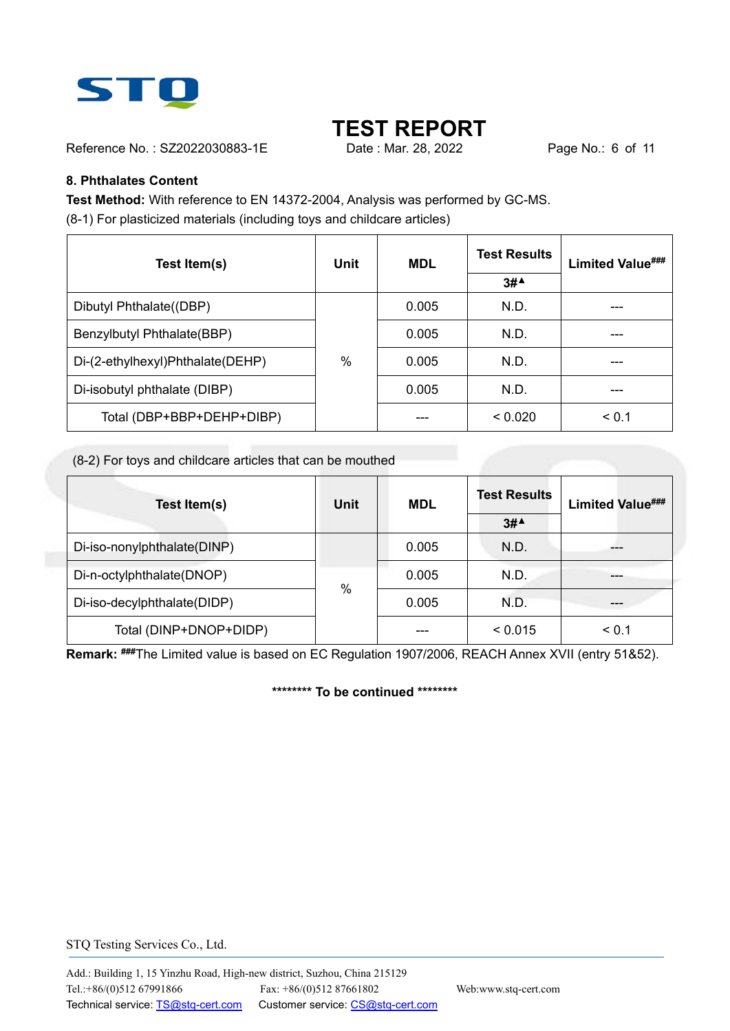

Reference No.: SZ2022030883-1E Date : Mar. 28, 2022 Page No.: 6 of 11

#### **8. Phthalates Content**

**Test Method:** With reference to EN 14372-2004, Analysis was performed by GC-MS. (8-1) For plasticized materials (including toys and childcare articles)

| Test Item(s)                     | Unit | <b>MDL</b> | <b>Test Results</b>                    | Limited Value### |
|----------------------------------|------|------------|----------------------------------------|------------------|
|                                  |      |            | $3#$ <sup><math>\triangle</math></sup> |                  |
| Dibutyl Phthalate((DBP)          |      | 0.005      | N.D.                                   |                  |
| Benzylbutyl Phthalate(BBP)       |      | 0.005      | N.D.                                   |                  |
| Di-(2-ethylhexyl)Phthalate(DEHP) | $\%$ | 0.005      | N.D.                                   |                  |
| Di-isobutyl phthalate (DIBP)     |      | 0.005      | N.D.                                   |                  |
| Total (DBP+BBP+DEHP+DIBP)        |      |            | < 0.020                                | < 0.1            |

(8-2) For toys and childcare articles that can be mouthed

| Test Item(s)                | Unit          | <b>MDL</b> | <b>Test Results</b><br>$3#$ <sup><math>\triangle</math></sup> | <b>Limited Value###</b> |
|-----------------------------|---------------|------------|---------------------------------------------------------------|-------------------------|
| Di-iso-nonylphthalate(DINP) |               | 0.005      | N.D.                                                          |                         |
| Di-n-octylphthalate(DNOP)   |               | 0.005      | N.D.                                                          |                         |
| Di-iso-decylphthalate(DIDP) | $\frac{0}{0}$ | 0.005      | N.D.                                                          |                         |
| Total (DINP+DNOP+DIDP)      |               |            | < 0.015                                                       | < 0.1                   |

**Remark: ###**The Limited value is based on EC Regulation 1907/2006, REACH Annex XVII (entry 51&52).

**\*\*\*\*\*\*\*\* To be continued \*\*\*\*\*\*\*\***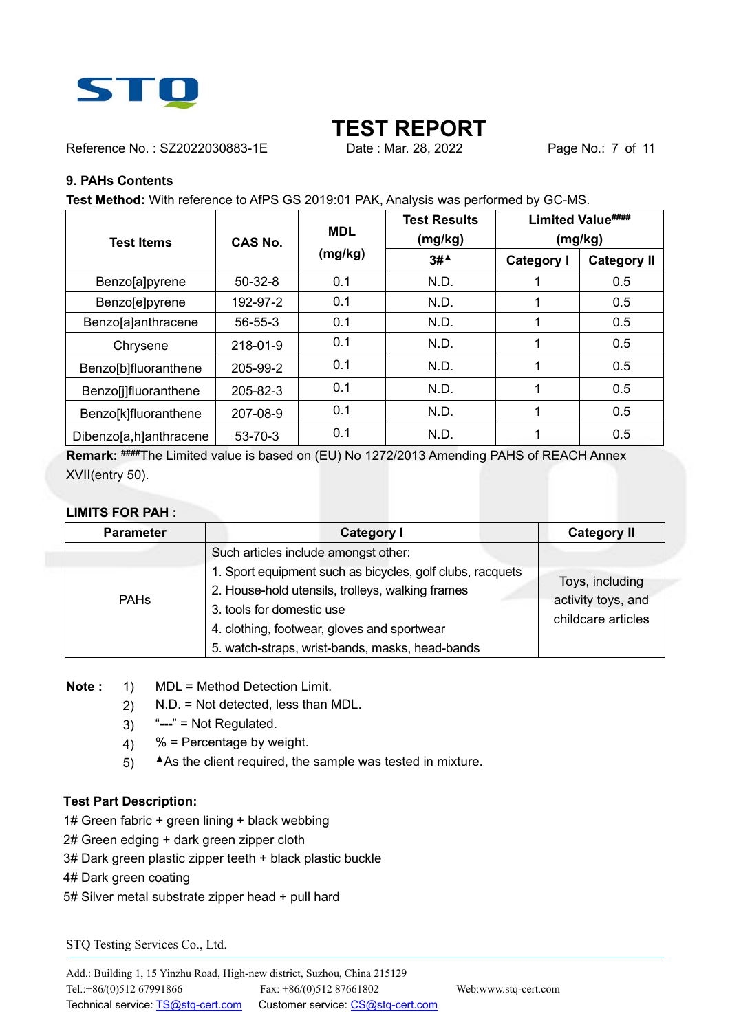

Reference No.: SZ2022030883-1E Date: Mar. 28, 2022 Page No.: 7 of 11

#### **9. PAHs Contents**

**Test Method:** With reference to AfPS GS 2019:01 PAK, Analysis was performed by GC-MS.

| <b>Test Items</b>      | CAS No.       | <b>MDL</b> | <b>Test Results</b><br>(mg/kg)         | Limited Value####<br>(mg/kg) |                    |
|------------------------|---------------|------------|----------------------------------------|------------------------------|--------------------|
|                        |               | (mg/kg)    | $3#$ <sup><math>\triangle</math></sup> | <b>Category I</b>            | <b>Category II</b> |
| Benzo[a]pyrene         | $50-32-8$     | 0.1        | N.D.                                   |                              | 0.5                |
| Benzo[e]pyrene         | 192-97-2      | 0.1        | N.D.                                   |                              | 0.5                |
| Benzo[a]anthracene     | $56 - 55 - 3$ | 0.1        | N.D.                                   |                              | 0.5                |
| Chrysene               | 218-01-9      | 0.1        | N.D.                                   |                              | 0.5                |
| Benzo[b]fluoranthene   | 205-99-2      | 0.1        | N.D.                                   | 1                            | 0.5                |
| Benzo[j]fluoranthene   | 205-82-3      | 0.1        | N.D.                                   |                              | 0.5                |
| Benzo[k]fluoranthene   | 207-08-9      | 0.1        | N.D.                                   |                              | 0.5                |
| Dibenzo[a,h]anthracene | 53-70-3       | 0.1        | N.D.                                   |                              | 0.5                |

**Remark: ####**The Limited value is based on (EU) No 1272/2013 Amending PAHS of REACH Annex XVII(entry 50).

#### **LIMITS FOR PAH :**

| <b>Parameter</b> | <b>Category I</b>                                                                                                                                                                                                                 | <b>Category II</b>                                          |  |
|------------------|-----------------------------------------------------------------------------------------------------------------------------------------------------------------------------------------------------------------------------------|-------------------------------------------------------------|--|
| <b>PAHs</b>      | Such articles include amongst other:<br>1. Sport equipment such as bicycles, golf clubs, racquets<br>2. House-hold utensils, trolleys, walking frames<br>3. tools for domestic use<br>4. clothing, footwear, gloves and sportwear | Toys, including<br>activity toys, and<br>childcare articles |  |
|                  | 5. watch-straps, wrist-bands, masks, head-bands                                                                                                                                                                                   |                                                             |  |

**Note :** 1) MDL = Method Detection Limit.

- 2) N.D. = Not detected, less than MDL.
- 3) "**---**" = Not Regulated.
- 4)  $%$  = Percentage by weight.
- 5) **▲**As the client required, the sample was tested in mixture.

#### **Test Part Description:**

- 1# Green fabric + green lining + black webbing
- 2# Green edging + dark green zipper cloth
- 3# Dark green plastic zipper teeth + black plastic buckle

4# Dark green coating

5# Silver metal substrate zipper head + pull hard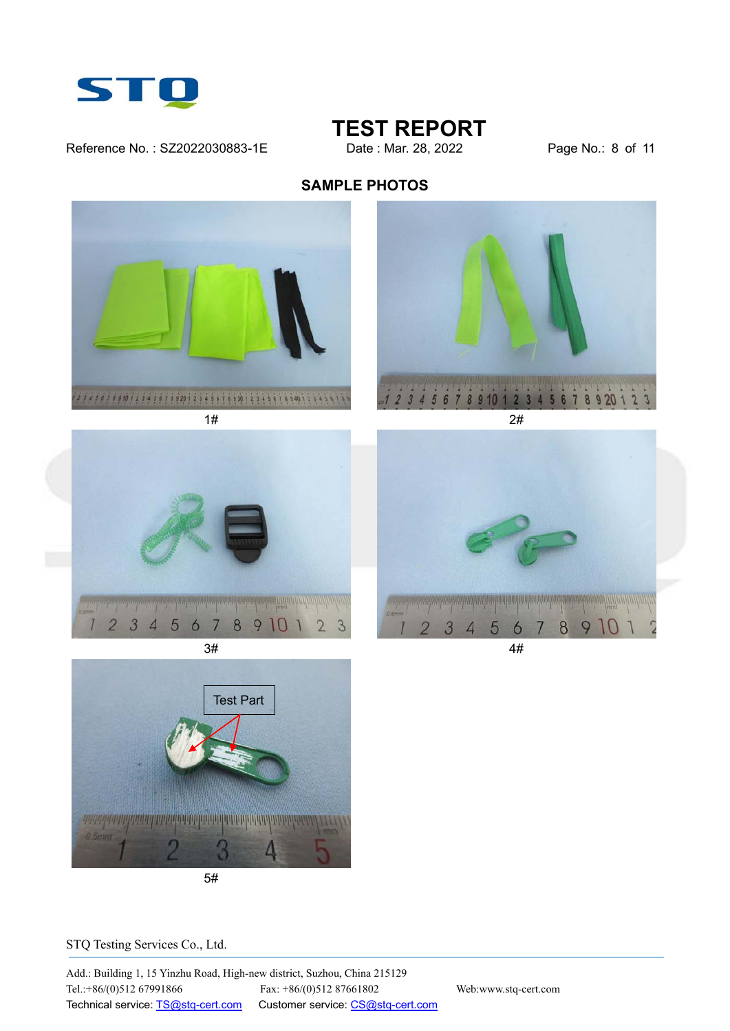

Reference No.: SZ2022030883-1E Date : Mar. 28, 2022 Page No.: 8 of 11

## **TEST REPORT**

### **SAMPLE PHOTOS**









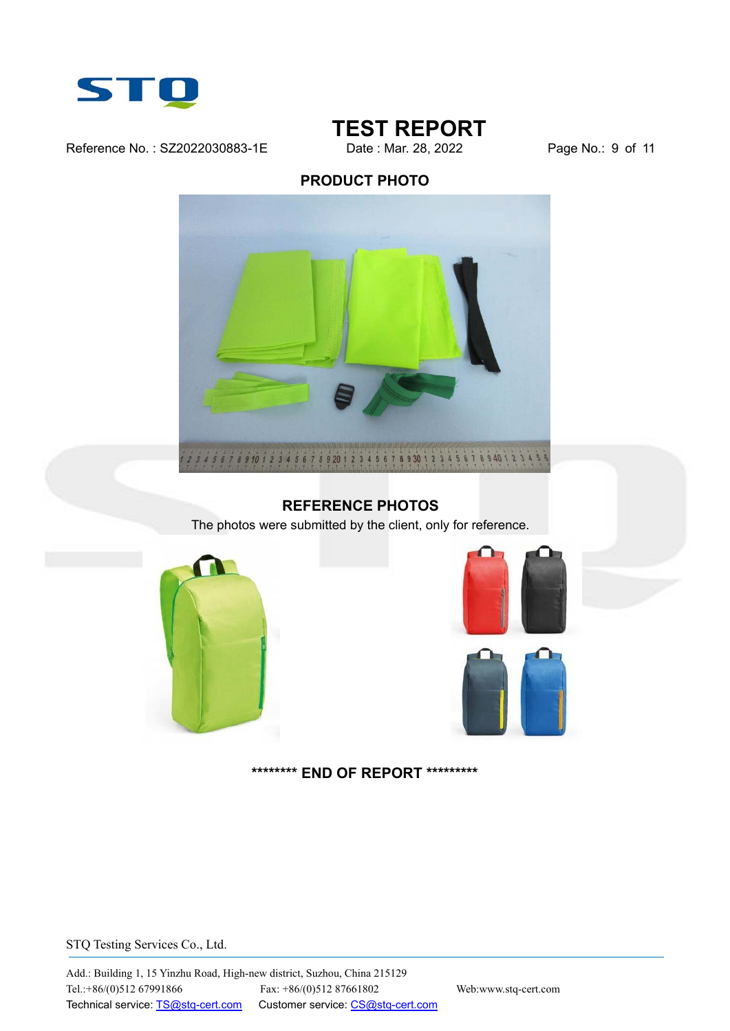

Reference No.: SZ2022030883-1E Date : Mar. 28, 2022 Page No.: 9 of 11

## **TEST REPORT**

### **PRODUCT PHOTO**



#### **REFERENCE PHOTOS**

The photos were submitted by the client, only for reference.







#### **\*\*\*\*\*\*\*\* END OF REPORT \*\*\*\*\*\*\*\*\***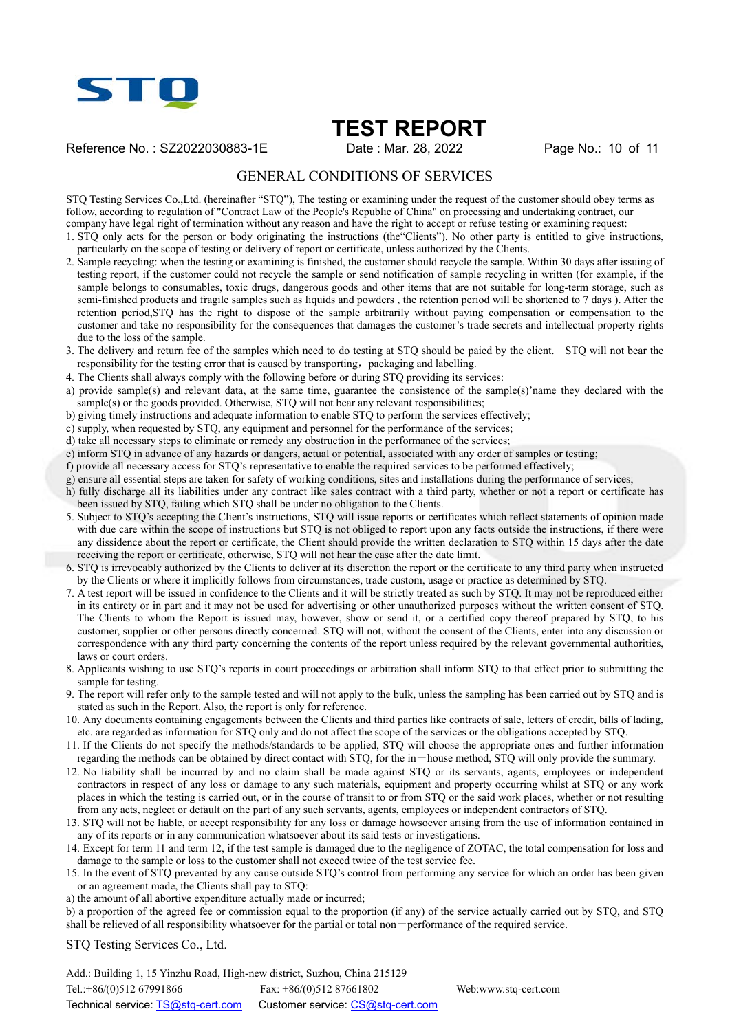

Reference No.: SZ2022030883-1E Date : Mar. 28, 2022 Page No.: 10 of 11

#### GENERAL CONDITIONS OF SERVICES

STQ Testing Services Co.,Ltd. (hereinafter "STQ"), The testing or examining under the request of the customer should obey terms as follow, according to regulation of "Contract Law of the People's Republic of China" on processing and undertaking contract, our company have legal right of termination without any reason and have the right to accept or refuse testing or examining request:

1. STQ only acts for the person or body originating the instructions (the"Clients"). No other party is entitled to give instructions, particularly on the scope of testing or delivery of report or certificate, unless authorized by the Clients.

- 2. Sample recycling: when the testing or examining is finished, the customer should recycle the sample. Within 30 days after issuing of testing report, if the customer could not recycle the sample or send notification of sample recycling in written (for example, if the sample belongs to consumables, toxic drugs, dangerous goods and other items that are not suitable for long-term storage, such as semi-finished products and fragile samples such as liquids and powders , the retention period will be shortened to 7 days ). After the retention period,STQ has the right to dispose of the sample arbitrarily without paying compensation or compensation to the customer and take no responsibility for the consequences that damages the customer's trade secrets and intellectual property rights due to the loss of the sample.
- 3. The delivery and return fee of the samples which need to do testing at STQ should be paied by the client. STQ will not bear the responsibility for the testing error that is caused by transporting, packaging and labelling.
- 4. The Clients shall always comply with the following before or during STQ providing its services:
- a) provide sample(s) and relevant data, at the same time, guarantee the consistence of the sample(s)'name they declared with the sample(s) or the goods provided. Otherwise, STO will not bear any relevant responsibilities;
- b) giving timely instructions and adequate information to enable STQ to perform the services effectively;
- c) supply, when requested by STQ, any equipment and personnel for the performance of the services;
- d) take all necessary steps to eliminate or remedy any obstruction in the performance of the services;
- e) inform STQ in advance of any hazards or dangers, actual or potential, associated with any order of samples or testing;
- f) provide all necessary access for STQ's representative to enable the required services to be performed effectively;
- g) ensure all essential steps are taken for safety of working conditions, sites and installations during the performance of services;
- h) fully discharge all its liabilities under any contract like sales contract with a third party, whether or not a report or certificate has been issued by STQ, failing which STQ shall be under no obligation to the Clients.
- 5. Subject to STQ's accepting the Client's instructions, STQ will issue reports or certificates which reflect statements of opinion made with due care within the scope of instructions but STQ is not obliged to report upon any facts outside the instructions, if there were any dissidence about the report or certificate, the Client should provide the written declaration to STQ within 15 days after the date receiving the report or certificate, otherwise, STQ will not hear the case after the date limit.
- 6. STQ is irrevocably authorized by the Clients to deliver at its discretion the report or the certificate to any third party when instructed by the Clients or where it implicitly follows from circumstances, trade custom, usage or practice as determined by STQ.
- 7. A test report will be issued in confidence to the Clients and it will be strictly treated as such by STQ. It may not be reproduced either in its entirety or in part and it may not be used for advertising or other unauthorized purposes without the written consent of STQ. The Clients to whom the Report is issued may, however, show or send it, or a certified copy thereof prepared by STQ, to his customer, supplier or other persons directly concerned. STQ will not, without the consent of the Clients, enter into any discussion or correspondence with any third party concerning the contents of the report unless required by the relevant governmental authorities, laws or court orders.
- 8. Applicants wishing to use STQ's reports in court proceedings or arbitration shall inform STQ to that effect prior to submitting the sample for testing.
- 9. The report will refer only to the sample tested and will not apply to the bulk, unless the sampling has been carried out by STQ and is stated as such in the Report. Also, the report is only for reference.
- 10. Any documents containing engagements between the Clients and third parties like contracts of sale, letters of credit, bills of lading, etc. are regarded as information for STQ only and do not affect the scope of the services or the obligations accepted by STQ.
- 11. If the Clients do not specify the methods/standards to be applied, STQ will choose the appropriate ones and further information regarding the methods can be obtained by direct contact with STQ, for the in-house method, STQ will only provide the summary.
- 12. No liability shall be incurred by and no claim shall be made against STQ or its servants, agents, employees or independent contractors in respect of any loss or damage to any such materials, equipment and property occurring whilst at STQ or any work places in which the testing is carried out, or in the course of transit to or from STQ or the said work places, whether or not resulting from any acts, neglect or default on the part of any such servants, agents, employees or independent contractors of STQ.
- 13. STQ will not be liable, or accept responsibility for any loss or damage howsoever arising from the use of information contained in any of its reports or in any communication whatsoever about its said tests or investigations.
- 14. Except for term 11 and term 12, if the test sample is damaged due to the negligence of ZOTAC, the total compensation for loss and damage to the sample or loss to the customer shall not exceed twice of the test service fee.
- 15. In the event of STQ prevented by any cause outside STQ's control from performing any service for which an order has been given or an agreement made, the Clients shall pay to STQ:
- a) the amount of all abortive expenditure actually made or incurred;
- b) a proportion of the agreed fee or commission equal to the proportion (if any) of the service actually carried out by STQ, and STQ shall be relieved of all responsibility whatsoever for the partial or total non-performance of the required service.

STQ Testing Services Co., Ltd.

Add.: Building 1, 15 Yinzhu Road, High-new district, Suzhou, China 215129 Tel.:+86/(0)512 67991866 Fax: +86/(0)512 87661802 Web:www.stq-cert.com Technical service: TS@stq-cert.com Customer service: CS@stq-cert.com